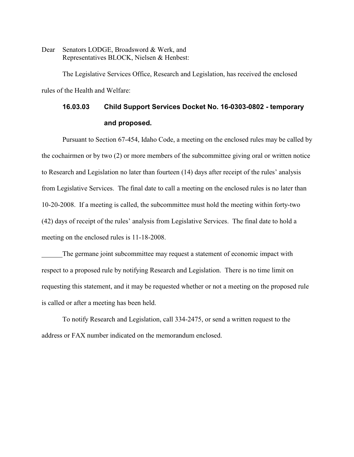Dear Senators LODGE, Broadsword & Werk, and Representatives BLOCK, Nielsen & Henbest:

The Legislative Services Office, Research and Legislation, has received the enclosed rules of the Health and Welfare:

# **16.03.03 Child Support Services Docket No. 16-0303-0802 - temporary and proposed.**

 Pursuant to Section 67-454, Idaho Code, a meeting on the enclosed rules may be called by the cochairmen or by two (2) or more members of the subcommittee giving oral or written notice to Research and Legislation no later than fourteen (14) days after receipt of the rules' analysis from Legislative Services. The final date to call a meeting on the enclosed rules is no later than 10-20-2008. If a meeting is called, the subcommittee must hold the meeting within forty-two (42) days of receipt of the rules' analysis from Legislative Services. The final date to hold a meeting on the enclosed rules is 11-18-2008.

The germane joint subcommittee may request a statement of economic impact with respect to a proposed rule by notifying Research and Legislation. There is no time limit on requesting this statement, and it may be requested whether or not a meeting on the proposed rule is called or after a meeting has been held.

To notify Research and Legislation, call 334-2475, or send a written request to the address or FAX number indicated on the memorandum enclosed.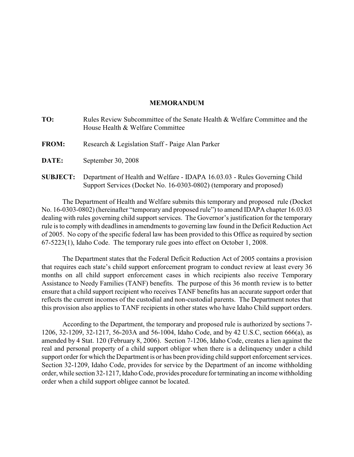## **MEMORANDUM**

| TO:             | Rules Review Subcommittee of the Senate Health & Welfare Committee and the<br>House Health & Welfare Committee                                   |
|-----------------|--------------------------------------------------------------------------------------------------------------------------------------------------|
| <b>FROM:</b>    | Research & Legislation Staff - Paige Alan Parker                                                                                                 |
| DATE:           | September 30, 2008                                                                                                                               |
| <b>SUBJECT:</b> | Department of Health and Welfare - IDAPA 16.03.03 - Rules Governing Child<br>Support Services (Docket No. 16-0303-0802) (temporary and proposed) |

The Department of Health and Welfare submits this temporary and proposed rule (Docket No. 16-0303-0802) (hereinafter "temporary and proposed rule") to amend IDAPA chapter 16.03.03 dealing with rules governing child support services. The Governor's justification for the temporary rule is to comply with deadlines in amendments to governing law found in the Deficit Reduction Act of 2005. No copy of the specific federal law has been provided to this Office as required by section 67-5223(1), Idaho Code. The temporary rule goes into effect on October 1, 2008.

The Department states that the Federal Deficit Reduction Act of 2005 contains a provision that requires each state's child support enforcement program to conduct review at least every 36 months on all child support enforcement cases in which recipients also receive Temporary Assistance to Needy Families (TANF) benefits. The purpose of this 36 month review is to better ensure that a child support recipient who receives TANF benefits has an accurate support order that reflects the current incomes of the custodial and non-custodial parents. The Department notes that this provision also applies to TANF recipients in other states who have Idaho Child support orders.

According to the Department, the temporary and proposed rule is authorized by sections 7- 1206, 32-1209, 32-1217, 56-203A and 56-1004, Idaho Code, and by 42 U.S.C, section 666(a), as amended by 4 Stat. 120 (February 8, 2006). Section 7-1206, Idaho Code, creates a lien against the real and personal property of a child support obligor when there is a delinquency under a child support order for which the Department is or has been providing child support enforcement services. Section 32-1209, Idaho Code, provides for service by the Department of an income withholding order, while section 32-1217, Idaho Code, provides procedure for terminating an income withholding order when a child support obligee cannot be located.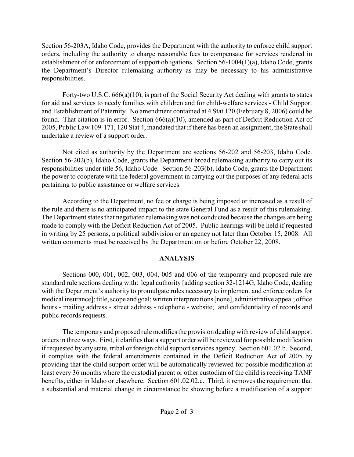Section 56-203A, Idaho Code, provides the Department with the authority to enforce child support orders, including the authority to charge reasonable fees to compensate for services rendered in establishment of or enforcement of support obligations. Section 56-1004(1)(a), Idaho Code, grants the Department's Director rulemaking authority as may be necessary to his administrative responsibilities.

Forty-two U.S.C. 666(a)(10), is part of the Social Security Act dealing with grants to states for aid and services to needy families with children and for child-welfare services - Child Support and Establishment of Paternity. No amendment contained at 4 Stat 120 (February 8, 2006) could be found. That citation is in error. Section 666(a)(10), amended as part of Deficit Reduction Act of 2005, Public Law 109-171, 120 Stat 4, mandated that if there has been an assignment, the State shall undertake a review of a support order.

Not cited as authority by the Department are sections 56-202 and 56-203, Idaho Code. Section 56-202(b), Idaho Code, grants the Department broad rulemaking authority to carry out its responsibilities under title 56, Idaho Code. Section 56-203(b), Idaho Code, grants the Department the power to cooperate with the federal government in carrying out the purposes of any federal acts pertaining to public assistance or welfare services.

According to the Department, no fee or charge is being imposed or increased as a result of the rule and there is no anticipated impact to the state General Fund as a result of this rulemaking. The Department states that negotiated rulemaking was not conducted because the changes are being made to comply with the Deficit Reduction Act of 2005. Public hearings will be held if requested in writing by 25 persons, a political subdivision or an agency not later than October 15, 2008. All written comments must be received by the Department on or before October 22, 2008.

# **ANALYSIS**

Sections 000, 001, 002, 003, 004, 005 and 006 of the temporary and proposed rule are standard rule sections dealing with: legal authority [adding section 32-1214G, Idaho Code, dealing with the Department's authority to promulgate rules necessary to implement and enforce orders for medical insurance]; title, scope and goal; written interpretations [none], administrative appeal; office hours - mailing address - street address - telephone - website; and confidentiality of records and public records requests.

The temporaryand proposed rule modifies the provision dealing with review of child support orders in three ways. First, it clarifies that a support order will be reviewed for possible modification if requested by any state, tribal or foreign child support services agency. Section 601.02.b. Second, it complies with the federal amendments contained in the Deficit Reduction Act of 2005 by providing that the child support order will be automatically reviewed for possible modification at least every 36 months where the custodial parent or other custodian of the child is receiving TANF benefits, either in Idaho or elsewhere. Section 601.02.02.c. Third, it removes the requirement that a substantial and material change in circumstance be showing before a modification of a support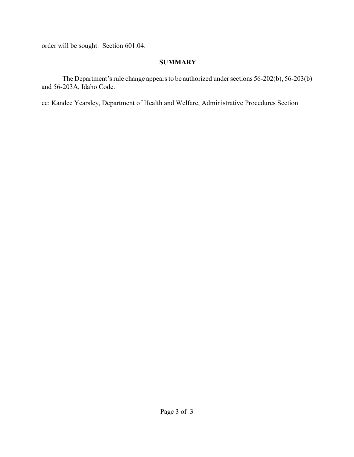order will be sought. Section 601.04.

# **SUMMARY**

The Department's rule change appears to be authorized under sections 56-202(b), 56-203(b) and 56-203A, Idaho Code.

cc: Kandee Yearsley, Department of Health and Welfare, Administrative Procedures Section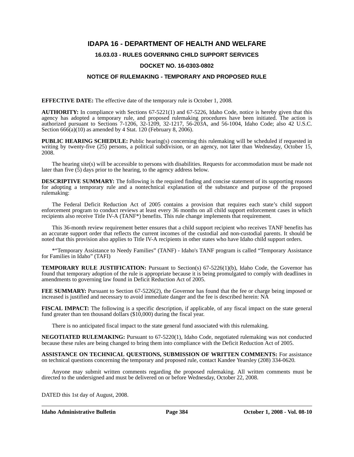# **IDAPA 16 - DEPARTMENT OF HEALTH AND WELFARE**

# **16.03.03 - RULES GOVERNING CHILD SUPPORT SERVICES**

#### **DOCKET NO. 16-0303-0802**

### **NOTICE OF RULEMAKING - TEMPORARY AND PROPOSED RULE**

**EFFECTIVE DATE:** The effective date of the temporary rule is October 1, 2008*.*

**AUTHORITY:** In compliance with Sections 67-5221(1) and 67-5226, Idaho Code, notice is hereby given that this agency has adopted a temporary rule, and proposed rulemaking procedures have been initiated. The action is authorized pursuant to Sections 7-1206, 32-1209, 32-1217, 56-203A, and 56-1004, Idaho Code; also 42 U.S.C. Section  $666(a)(10)$  as amended by 4 Stat. 120 (February 8, 2006).

**PUBLIC HEARING SCHEDULE:** Public hearing(s) concerning this rulemaking will be scheduled if requested in writing by twenty-five (25) persons, a political subdivision, or an agency, not later than Wednesday, October 15, 2008.

The hearing site(s) will be accessible to persons with disabilities. Requests for accommodation must be made not later than five (5) days prior to the hearing, to the agency address below.

**DESCRIPTIVE SUMMARY:** The following is the required finding and concise statement of its supporting reasons for adopting a temporary rule and a nontechnical explanation of the substance and purpose of the proposed rulemaking:

The Federal Deficit Reduction Act of 2005 contains a provision that requires each state's child support enforcement program to conduct reviews at least every 36 months on all child support enforcement cases in which recipients also receive Title IV-A (TANF\*) benefits. This rule change implements that requirement.

This 36-month review requirement better ensures that a child support recipient who receives TANF benefits has an accurate support order that reflects the current incomes of the custodial and non-custodial parents. It should be noted that this provision also applies to Title IV-A recipients in other states who have Idaho child support orders.

\*"Temporary Assistance to Needy Families" (TANF) - Idaho's TANF program is called "Temporary Assistance for Families in Idaho" (TAFI)

**TEMPORARY RULE JUSTIFICATION:** Pursuant to Section(s) 67-5226(1)(b), Idaho Code, the Governor has found that temporary adoption of the rule is appropriate because it is being promulgated to comply with deadlines in amendments to governing law found in Deficit Reduction Act of 2005.

**FEE SUMMARY:** Pursuant to Section 67-5226(2), the Governor has found that the fee or charge being imposed or increased is justified and necessary to avoid immediate danger and the fee is described herein: NA

**FISCAL IMPACT:** The following is a specific description, if applicable, of any fiscal impact on the state general fund greater than ten thousand dollars (\$10,000) during the fiscal year.

There is no anticipated fiscal impact to the state general fund associated with this rulemaking.

**NEGOTIATED RULEMAKING:** Pursuant to 67-5220(1), Idaho Code, negotiated rulemaking was not conducted because these rules are being changed to bring them into compliance with the Deficit Reduction Act of 2005.

**ASSISTANCE ON TECHNICAL QUESTIONS, SUBMISSION OF WRITTEN COMMENTS:** For assistance on technical questions concerning the temporary and proposed rule, contact Kandee Yearsley (208) 334-0620*.*

Anyone may submit written comments regarding the proposed rulemaking. All written comments must be directed to the undersigned and must be delivered on or before Wednesday, October 22, 2008.

DATED this 1st day of August, 2008.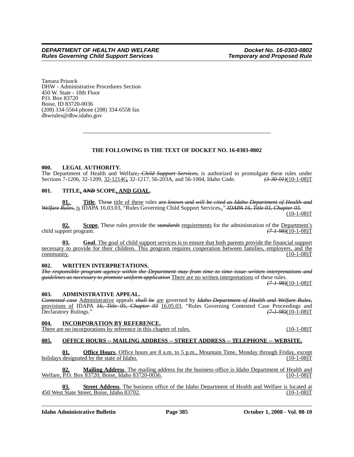Tamara Prisock DHW - Administrative Procedures Section 450 W. State - 10th Floor P.O. Box 83720 Boise, ID 83720-0036 (208) 334-5564 phone (208) 334-6558 fax <dhwrules@dhw.idaho.gov>

## **THE FOLLOWING IS THE TEXT OF DOCKET NO. 16-0303-0802**

#### **000. LEGAL AUTHORITY.**

The Department of Health and Welfare, *Child Support Services*, is authorized to promulgate these rules under Sections 7-1206, 32-1209, 32-1214G, 32-1217, 56-203A, and 56-1004, Idaho Code.  $\left(3.3004\right)/\left(10^{-108}\right)$ Sections 7-1206, 32-1209, 32-1214G, 32-1217, 56-203A, and 56-1004, Idaho Code.

## **001. TITLE,** *AND* **SCOPE, AND GOAL.**

**01. Title**. The*se* title of these rules *are known and will be cited as Idaho Department of Health and Welfare Rules,* is IDAPA 16.03.03, "Rules Governing Child Support Services*,*." *IDAPA 16, Title 03, Chapter 03.* (10-1-08)T

**02. Scope**. These rules provide the *standards* requirements for the administration of the <u>Department's</u> poort program.  $(7.198)(10-1.08)$ child support program.

**03. Goal**. The goal of child support services is to ensure that both parents provide the financial support necessary to provide for their children. This program requires cooperation between families, employers, and the  $\frac{110-1-08}{T}$  (10-1-08)

#### **002. WRITTEN INTERPRETATIONS.**

*The responsible program agency within the Department may from time to time issue written interpretations and guidelines as necessary to promote uniform application* There are no written interpretations of these rules.

*(7-1-98)*(10-1-08)T

#### **003. ADMINISTRATIVE APPEAL.**

*Contested case* Administrative appeals *shall be* are governed by *Idaho Department of Health and Welfare Rules,* provisions of IDAPA *16, Title 05, Chapter 03* 16.05.03, "Rules Governing Contested Case Proceedings and Declaratory Rulings." *(7-1-98)*(10-1-08)T

# **004. INCORPORATION BY REFERENCE.**

There are no incorporations by reference in this chapter of rules. (10-1-08)T

### **005. OFFICE HOURS -- MAILING ADDRESS -- STREET ADDRESS -- TELEPHONE -- WEBSITE.**

**01. Office Hours**. Office hours are 8 a.m. to 5 p.m., Mountain Time, Monday through Friday, except designated by the state of Idaho. (10-1-08) holidays  $\overline{designed}$  by the state of Idaho.

**02. Mailing Address**. The mailing address for the business office is Idaho Department of Health and Welfare, P.O. Box 83720, Boise, Idaho 83720-0036. (10-1-08)T

**03. Street Address**. The business office of the Idaho Department of Health and Welfare is located at 450 West State Street, Boise, Idaho 83702. (10-1-08)T

**Idaho Administrative Bulletin Page 385 October 1, 2008 - Vol. 08-10**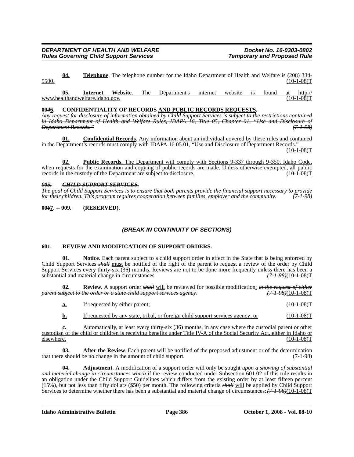**04. Telephone**. The telephone number for the Idaho Department of Health and Welfare is (208) 334- 5500. (10-1-08)T

**05. Internet Website**[. The Department's internet website is found at http://](http://www.healthandwelfare.idaho.gov) [www.healthandwelfare.idaho.gov.](http://www.healthandwelfare.idaho.gov) (10-1-08)T

#### **00***4***6. CONFIDENTIALITY OF RECORDS AND PUBLIC RECORDS REQUESTS.**

*Any request for disclosure of information obtained by Child Support Services is subject to the restrictions contained in Idaho Department of Health and Welfare Rules, IDAPA 16, Title 05, Chapter 01, "Use and Disclosure of Department Records."* 

**01. Confidential Records**. Any information about an individual covered by these rules and contained in the Department's records must comply with IDAPA 16.05.01, "Use and Disclosure of Department Records."  $(10-1-08)T$ 

**02. Public Records**. The Department will comply with Sections 9-337 through 9-350, Idaho Code, when requests for the examination and copying of public records are made. Unless otherwise exempted, all public records in the custody of the Department are subject to disclosure. (10-1-08)T

#### *005. CHILD SUPPORT SERVICES.*

*The goal of Child Support Services is to ensure that both parents provide the financial support necessary to provide for their children. This program requires cooperation between families, employer and the community. (7-1-98)*

**00***6***7. -- 009. (RESERVED).**

# *(BREAK IN CONTINUITY OF SECTIONS)*

#### **601. REVIEW AND MODIFICATION OF SUPPORT ORDERS.**

**01. Notice**. Each parent subject to a child support order in effect in the State that is being enforced by Child Support Services *shall* must be notified of the right of the parent to request a review of the order by Child Support Services every thirty-six (36) months. Reviews are not to be done more frequently unless there has been a substantial and material change in circumstances.  $(7-1-98)(10-1-08)T$ substantial and material change in circumstances.

**02.** Review. A support order *shall* will be reviewed for possible modification: *at the request of either chiect to the order or a state child support services agency.* (7-1-98)(10-1-08)  $(T-1-08)$ *parent subject to the order or a state child support services agency.* 

| If requested by either parent:                                                  | $(10-1-08)T$ |
|---------------------------------------------------------------------------------|--------------|
| If requested by any state, tribal, or foreign child support services agency; or | $(10-1-08)T$ |

**c.** Automatically, at least every thirty-six (36) months, in any case where the custodial parent or other custodian of the child or children is receiving benefits under Title IV-A of the Social Security Act, either in Idaho or elsewhere. (10-1-08)T

**03. After the Review**. Each parent will be notified of the proposed adjustment or of the determination that there should be no change in the amount of child support. (7-1-98)

**04. Adjustment**. A modification of a support order will only be sought *upon a showing of substantial and material change in circumstances which* if the review conducted under Subsection 601.02 of this rule results in an obligation under the Child Support Guidelines which differs from the existing order by at least fifteen percent (15%), but not less than fifty dollars (\$50) per month. The following criteria *shall* will be applied by Child Support Services to determine whether there has been a substantial and material change of circumstances:*(7-1-98)*(10-1-08)T

**Idaho Administrative Bulletin Page 386 Corolect Properties Administrative Bulletin Page 386 Corolect Properties Administrative Bulletin**